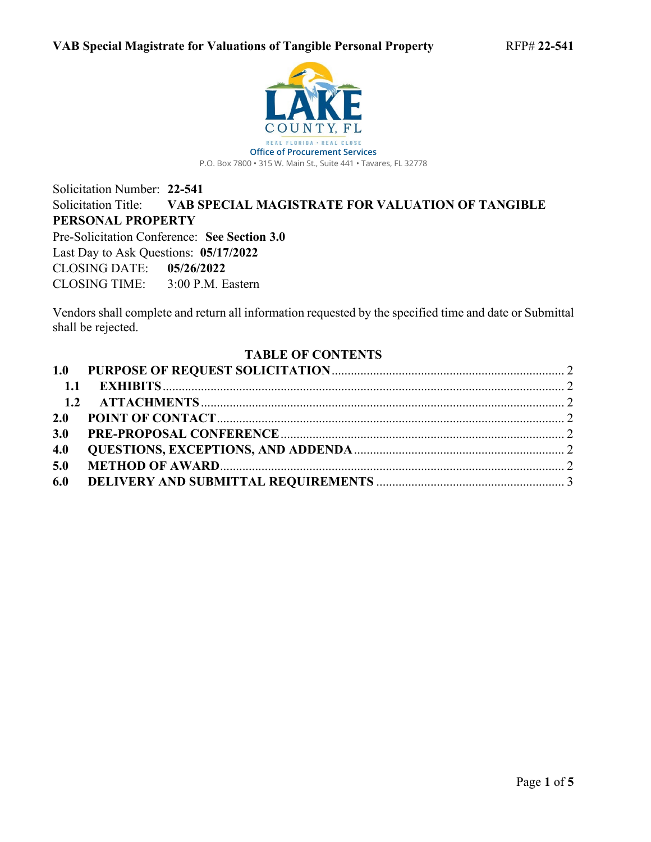

# Solicitation Number: **22-541** Solicitation Title: **VAB SPECIAL MAGISTRATE FOR VALUATION OF TANGIBLE PERSONAL PROPERTY** Pre-Solicitation Conference: **See Section 3.0**

Last Day to Ask Questions: **05/17/2022** CLOSING DATE: **05/26/2022** CLOSING TIME: 3:00 P.M. Eastern

Vendors shall complete and return all information requested by the specified time and date or Submittal shall be rejected.

#### <span id="page-0-0"></span>**TABLE OF CONTENTS**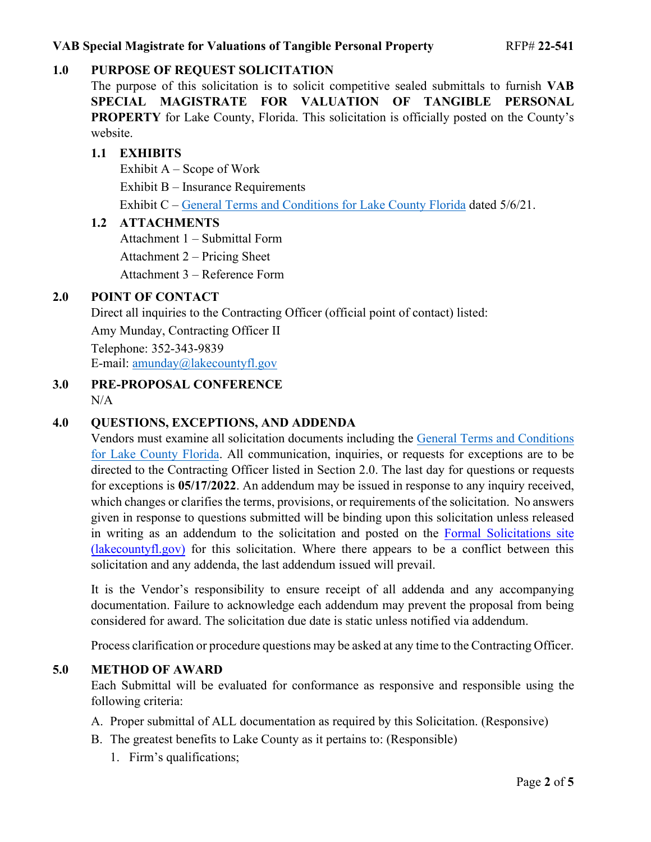# <span id="page-1-0"></span>**1.0 PURPOSE OF REQUEST SOLICITATION**

The purpose of this solicitation is to solicit competitive sealed submittals to furnish **VAB SPECIAL MAGISTRATE FOR VALUATION OF TANGIBLE PERSONAL PROPERTY** for Lake County, Florida. This solicitation is officially posted on the County's website.

## <span id="page-1-1"></span>**1.1 EXHIBITS**

Exhibit A – Scope of Work Exhibit B – Insurance Requirements Exhibit C – [General Terms and Conditions for Lake County Florida](https://lakeumbraco.azurewebsites.net/media/krwgfnt0/general-terms-and-conditions-v-5-6-21-ada.pdf) dated 5/6/21.

### <span id="page-1-2"></span>**1.2 ATTACHMENTS**

Attachment 1 – Submittal Form Attachment 2 – Pricing Sheet Attachment 3 – Reference Form

## <span id="page-1-3"></span>**2.0 POINT OF CONTACT**

Direct all inquiries to the Contracting Officer (official point of contact) listed:

Amy Munday, Contracting Officer II

Telephone: 352-343-9839 E-mail: [amunday@lakecountyfl.gov](mailto:amunday@lakecountyfl.gov)

<span id="page-1-4"></span>**3.0 PRE-PROPOSAL CONFERENCE**  $N/A$ 

# <span id="page-1-5"></span>**4.0 QUESTIONS, EXCEPTIONS, AND ADDENDA**

Vendors must examine all solicitation documents including the [General Terms and Conditions](https://lakeumbraco.azurewebsites.net/media/krwgfnt0/general-terms-and-conditions-v-5-6-21-ada.pdf)  [for Lake County Florida.](https://lakeumbraco.azurewebsites.net/media/krwgfnt0/general-terms-and-conditions-v-5-6-21-ada.pdf) All communication, inquiries, or requests for exceptions are to be directed to the Contracting Officer listed in Sectio[n 2.0.](#page-1-3) The last day for questions or requests for exceptions is **05/17[/2022](#page-0-0)**. An addendum may be issued in response to any inquiry received, which changes or clarifies the terms, provisions, or requirements of the solicitation. No answers given in response to questions submitted will be binding upon this solicitation unless released in writing as an addendum to the solicitation and posted on the [Formal Solicitations site](https://c.lakecountyfl.gov/offices/procurement_services/view_all_bids.aspx?mylakefl=True)  [\(lakecountyfl.gov\)](https://c.lakecountyfl.gov/offices/procurement_services/view_all_bids.aspx?mylakefl=True) for this solicitation. Where there appears to be a conflict between this solicitation and any addenda, the last addendum issued will prevail.

It is the Vendor's responsibility to ensure receipt of all addenda and any accompanying documentation. Failure to acknowledge each addendum may prevent the proposal from being considered for award. The solicitation due date is static unless notified via addendum.

Process clarification or procedure questions may be asked at any time to the Contracting Officer.

### <span id="page-1-6"></span>**5.0 METHOD OF AWARD**

Each Submittal will be evaluated for conformance as responsive and responsible using the following criteria:

- A. Proper submittal of ALL documentation as required by this Solicitation. (Responsive)
- B. The greatest benefits to Lake County as it pertains to: (Responsible)
	- 1. Firm's qualifications;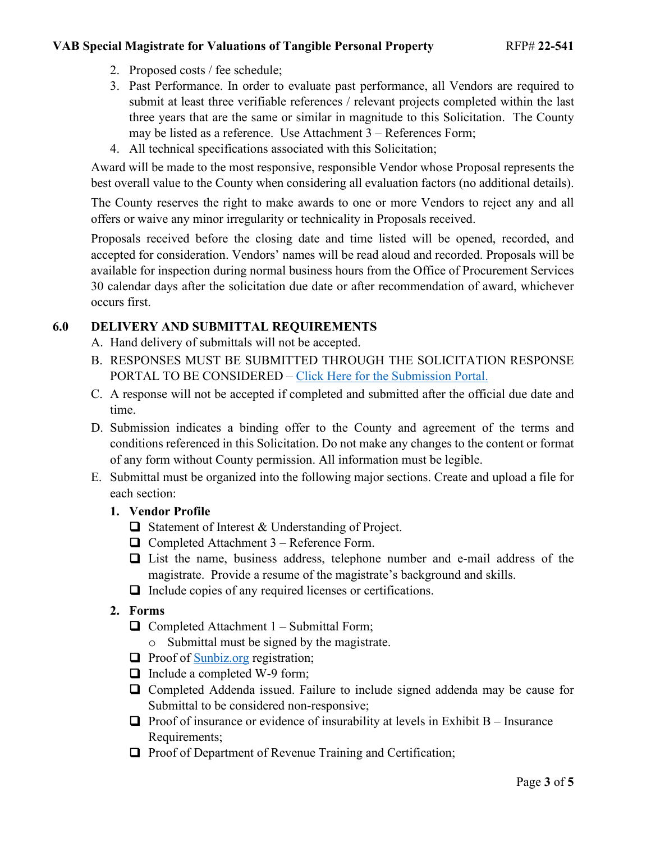#### **VAB Special Magistrate for Valuations of Tangible Personal Property** RFP# 22-541

- 2. Proposed costs / fee schedule;
- 3. Past Performance. In order to evaluate past performance, all Vendors are required to submit at least three verifiable references / relevant projects completed within the last three years that are the same or similar in magnitude to this Solicitation. The County may be listed as a reference. Use Attachment 3 – References Form;
- 4. All technical specifications associated with this Solicitation;

Award will be made to the most responsive, responsible Vendor whose Proposal represents the best overall value to the County when considering all evaluation factors (no additional details).

The County reserves the right to make awards to one or more Vendors to reject any and all offers or waive any minor irregularity or technicality in Proposals received.

Proposals received before the closing date and time listed will be opened, recorded, and accepted for consideration. Vendors' names will be read aloud and recorded. Proposals will be available for inspection during normal business hours from the Office of Procurement Services 30 calendar days after the solicitation due date or after recommendation of award, whichever occurs first.

### <span id="page-2-0"></span>**6.0 DELIVERY AND SUBMITTAL REQUIREMENTS**

- A. Hand delivery of submittals will not be accepted.
- B. RESPONSES MUST BE SUBMITTED THROUGH THE SOLICITATION RESPONSE PORTAL TO BE CONSIDERED – [Click Here for the Submission Portal.](https://procurement.lakecountyfl.gov/login)
- C. A response will not be accepted if completed and submitted after the official due date and time.
- D. Submission indicates a binding offer to the County and agreement of the terms and conditions referenced in this Solicitation. Do not make any changes to the content or format of any form without County permission. All information must be legible.
- E. Submittal must be organized into the following major sections. Create and upload a file for each section:
	- **1. Vendor Profile**
		- $\Box$  Statement of Interest & Understanding of Project.
		- $\Box$  Completed Attachment 3 Reference Form.
		- List the name, business address, telephone number and e-mail address of the magistrate. Provide a resume of the magistrate's background and skills.
		- $\Box$  Include copies of any required licenses or certifications.
	- **2. Forms**
		- $\Box$  Completed Attachment 1 Submittal Form;
			- o Submittal must be signed by the magistrate.
		- $\Box$  Proof of [Sunbiz.org](https://dos.myflorida.com/sunbiz/) registration;
		- $\Box$  Include a completed W-9 form;
		- □ Completed Addenda issued. Failure to include signed addenda may be cause for Submittal to be considered non-responsive;
		- $\Box$  Proof of insurance or evidence of insurability at levels in Exhibit B Insurance Requirements;
		- $\Box$  Proof of Department of Revenue Training and Certification;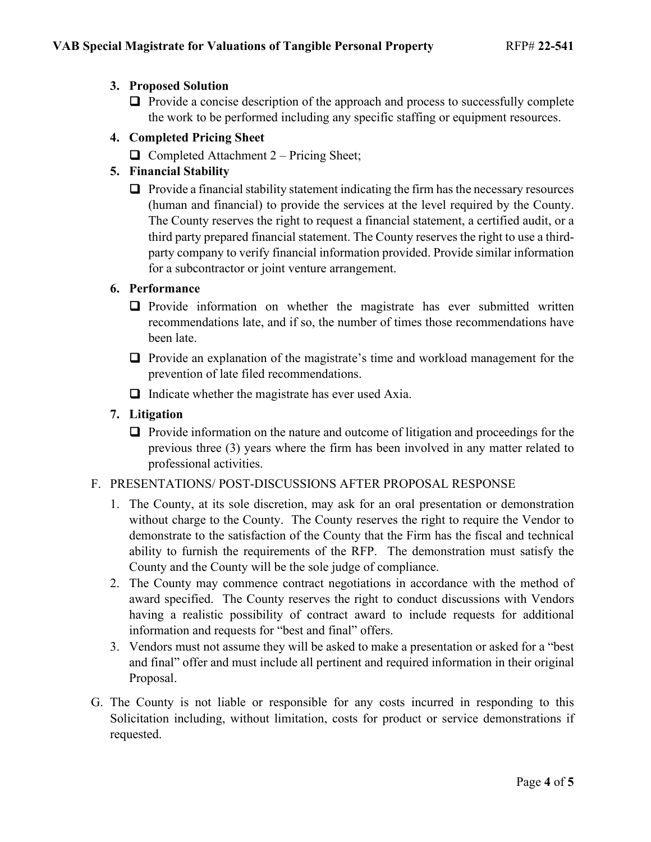## **3. Proposed Solution**

 $\Box$  Provide a concise description of the approach and process to successfully complete the work to be performed including any specific staffing or equipment resources.

### **4. Completed Pricing Sheet**

 $\Box$  Completed Attachment 2 – Pricing Sheet;

## **5. Financial Stability**

 $\Box$  Provide a financial stability statement indicating the firm has the necessary resources (human and financial) to provide the services at the level required by the County. The County reserves the right to request a financial statement, a certified audit, or a third party prepared financial statement. The County reserves the right to use a thirdparty company to verify financial information provided. Provide similar information for a subcontractor or joint venture arrangement.

### **6. Performance**

- $\Box$  Provide information on whether the magistrate has ever submitted written recommendations late, and if so, the number of times those recommendations have been late.
- $\Box$  Provide an explanation of the magistrate's time and workload management for the prevention of late filed recommendations.
- $\Box$  Indicate whether the magistrate has ever used Axia.

#### **7. Litigation**

 $\Box$  Provide information on the nature and outcome of litigation and proceedings for the previous three (3) years where the firm has been involved in any matter related to professional activities.

#### F. PRESENTATIONS/ POST-DISCUSSIONS AFTER PROPOSAL RESPONSE

- 1. The County, at its sole discretion, may ask for an oral presentation or demonstration without charge to the County. The County reserves the right to require the Vendor to demonstrate to the satisfaction of the County that the Firm has the fiscal and technical ability to furnish the requirements of the RFP. The demonstration must satisfy the County and the County will be the sole judge of compliance.
- 2. The County may commence contract negotiations in accordance with the method of award specified. The County reserves the right to conduct discussions with Vendors having a realistic possibility of contract award to include requests for additional information and requests for "best and final" offers.
- 3. Vendors must not assume they will be asked to make a presentation or asked for a "best and final" offer and must include all pertinent and required information in their original Proposal.
- G. The County is not liable or responsible for any costs incurred in responding to this Solicitation including, without limitation, costs for product or service demonstrations if requested.